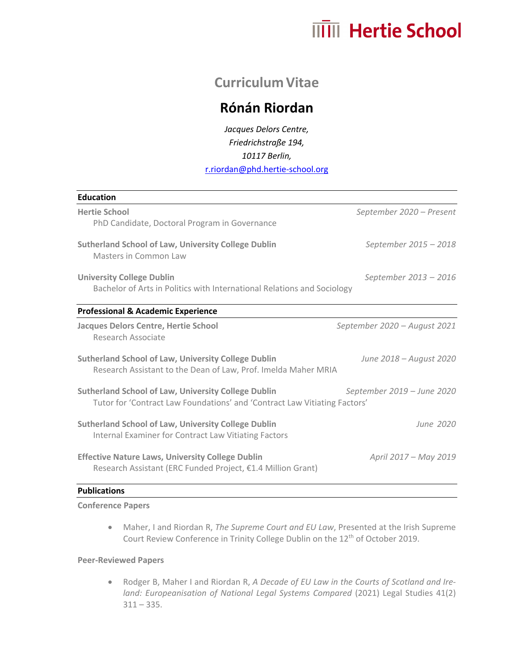# **MIII** Hertie School

## **Curriculum Vitae**

## **Rónán Riordan**

*Jacques Delors Centre, Friedrichstraße 194, 10117 Berlin,*  r.riordan@phd.hertie-school.org

| <b>Education</b>                                                                                                                        |                              |
|-----------------------------------------------------------------------------------------------------------------------------------------|------------------------------|
| <b>Hertie School</b>                                                                                                                    | September 2020 - Present     |
| PhD Candidate, Doctoral Program in Governance                                                                                           |                              |
| <b>Sutherland School of Law, University College Dublin</b>                                                                              | September 2015 - 2018        |
| Masters in Common Law                                                                                                                   |                              |
| <b>University College Dublin</b>                                                                                                        | September 2013 - 2016        |
| Bachelor of Arts in Politics with International Relations and Sociology                                                                 |                              |
| <b>Professional &amp; Academic Experience</b>                                                                                           |                              |
| <b>Jacques Delors Centre, Hertie School</b><br>Research Associate                                                                       | September 2020 - August 2021 |
| <b>Sutherland School of Law, University College Dublin</b><br>Research Assistant to the Dean of Law, Prof. Imelda Maher MRIA            | June 2018 – August 2020      |
| <b>Sutherland School of Law, University College Dublin</b><br>Tutor for 'Contract Law Foundations' and 'Contract Law Vitiating Factors' | September 2019 – June 2020   |
| <b>Sutherland School of Law, University College Dublin</b><br>Internal Examiner for Contract Law Vitiating Factors                      | June 2020                    |
| <b>Effective Nature Laws, University College Dublin</b><br>Research Assistant (ERC Funded Project, €1.4 Million Grant)                  | April 2017 - May 2019        |
|                                                                                                                                         |                              |

#### **Publications**

#### **Conference Papers**

• Maher, I and Riordan R, *The Supreme Court and EU Law*, Presented at the Irish Supreme Court Review Conference in Trinity College Dublin on the 12<sup>th</sup> of October 2019.

#### **Peer-Reviewed Papers**

• Rodger B, Maher I and Riordan R, *A Decade of EU Law in the Courts of Scotland and Ireland: Europeanisation of National Legal Systems Compared* (2021) Legal Studies 41(2)  $311 - 335.$